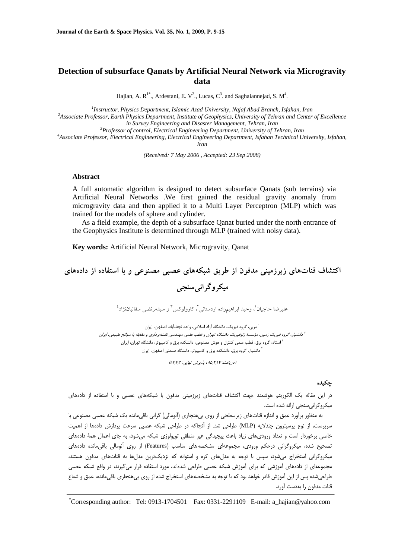# **Detection of subsurface Qanats by Artificial Neural Network via Microgravity data**

Hajian, A.  $R^{1*}$ ., Ardestani, E. V<sup>2</sup>., Lucas,  $C^3$ . and Saghaiannejad, S. M<sup>4</sup>.

<sup>1</sup><br>
<sup>1</sup> *Instructor, Physics Department, Islamic Azad University, Najaf Abad Branch, Isfahan, Iran<sup>2</sup> Associate Professor, Earth Physics Department, Institute of Coophysics, University of Tohean and Context* 

*Associate Professor, Earth Physics Department, Institute of Geophysics, University of Tehran and Center of Excellence in Survey Engineering and Disaster Management, Tehran, Iran* 

<sup>3</sup> Professor of control, Electrical Engineering Department, University of Tehran, Iran

*Associate Professor, Electrical Engineering, Electrical Engineering Department, Isfahan Technical University, Isfahan, Iran* 

*(Received: 7 May 2006 , Accepted: 23 Sep 2008)* 

#### **Abstract**

A full automatic algorithm is designed to detect subsurface Qanats (sub terrains) via Artificial Neural Networks .We first gained the residual gravity anomaly from microgravity data and then applied it to a Multi Layer Perceptron (MLP) which was trained for the models of sphere and cylinder.

As a field example, the depth of a subsurface Qanat buried under the north entrance of the Geophysics Institute is determined through MLP (trained with noisy data).

**Key words:** Artificial Neural Network, Microgravity, Qanat

**اكتشاف قناتهاي زيرزميني مدفون از طريق شبكههاي عصبي مصنوعي و با استفاده از دادههاي**

**ميكروگرانيسنجي**

عليرضا حاجيان'، وحيد ابراهيمزاده اردستاني'، كارولوكس<sup>٣</sup> و سيدمرتضى سقائياننژاد<sup>،</sup>

،<br>`` مربي، گروه فيزيک، دانشگاه آزاد اسلامي، واحد نجفآباد، اصفهان، ايران دانشيار، گروه فيزيك زمين، مؤسسة ژئوفيزيك دانشگاه تهران <sup>و</sup> قطب علمي مهندسي نقشهبرداري <sup>و</sup> مقابله با سوانح طبيعي، ايران <sup>2</sup> <sup>۲</sup> استاد، گروه برق، قطب علمي كنترل و هوش مصنوعي، دانشكده برق و كامپيوتر، دانشگاه تهران، ايران دانشيار، گروه برق، دانشكده برق و كامپيوتر، دانشگاه صنعتي اصفهان، ايران <sup>4</sup>

(دريافت: ۸۵/۲٫۱۷، پذيرش نهايي: ۸۷/۲/۲)

# **چكيده**

در اين مقاله يك الگوريتم هوشمند جهت اكتشاف قناتهاي زيرزميني مدفون با شبكههاي عصبي و با استفاده از دادههاي ميكروگرانيسنجي ارائه شده است.

به منظور برآورد عمق و اندازه قناتهاي زيرسطحي از روي بيهنجاري (آنومالي) گراني باقيمانده يك شبكه عصبي مصنوعي با سرپرست، از نوع پرسپترون چندلايه (MLP (طراحي شد. از آنجاكه در طراحي شبكه عصبي سرعت پردازش دادهها از اهميت خاصي برخوردار است و تعداد وروديهاي زياد باعث پيچيدگي غير منطقي توپولوژي شبكه ميشود، به جاي اعمال همة دادههاي تصحيح شده، ميكروگراني درحكم ورودي، مجموعهاي مشخصههاي مناسب (Features (از روي آنومالي باقيمانده دادههاي ميكروگراني استخراج ميشود، سپس با توجه به مدلهاي كره و استوانه كه نزديكترين مدلها به قناتهاي مدفون هستند، مجموعهاي از دادههاي آموزشي كه براي آموزش شبكه عصبي طراحي شدهاند، مورد استفاده قرار ميگيرند، در واقع شبكه عصبي طراحيشده پس از اين آموزش قادر خواهد بود كه با توجه به مشخصههاي استخراج شده از روي بيهنجاري باقيمانده، عمق و شعاع قنات مدفون را بهدست آورد.

\* Corresponding author: Tel: 0913-1704501 Fax: 0331-2291109 E-mail: a\_hajian@yahoo.com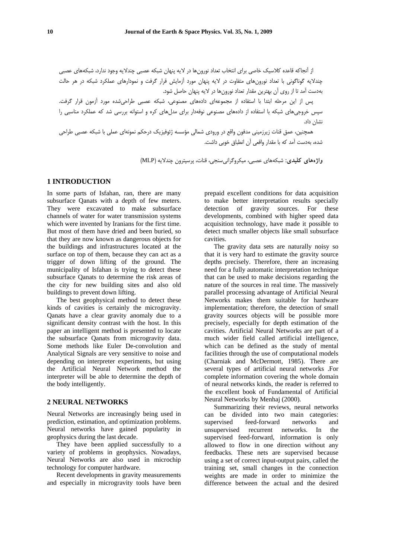از آنجاكه قاعده كلاسيك خاصي براي انتخاب تعداد نورونها در لايه پنهان شبكه عصبي چندلايه وجود ندارد، شبكههاي عصبي چندلايه گوناگوني با تعداد نورونهاي متفاوت در لايه پنهان مورد آزمايش قرار گرفت و نمودارهاي عملكرد شبكه در هر حالت بهدست آمد تا از روي آن بهترين مقدار تعداد نورونها در لايه پنهان حاصل شود.

پس از اين مرحله ابتدا با استفاده از مجموعهاي دادههاي مصنوعي، شبكه عصبي طراحيشده مورد آزمون قرار گرفت. سپس خروجيهاي شبكه با استفاده از دادههاي مصنوعي نوفهدار براي مدلهاي كره و استوانه بررسي شد كه عملكرد مناسبي را نشان داد.

همچنين، عمق قنات زيرزميني مدفون واقع در ورودي شمالي مؤسسه ژئوفيزيك درحكم نمونهاي عملي با شبكه عصبي طراحي شده، بهدست آمد كه با مقدار واقعي آن انطباق خوبي داشت.

**واژههاي كليدي:** شبكههاي عصبي، ميكروگرانيسنجي، قنات، پرسپترون چندلايه (MLP(

#### **1 INTRODUCTION**

In some parts of Isfahan, ran, there are many subsurface Qanats with a depth of few meters. They were excavated to make subsurface channels of water for water transmission systems which were invented by Iranians for the first time. But most of them have dried and been buried, so that they are now known as dangerous objects for the buildings and infrastructures located at the surface on top of them, because they can act as a trigger of down lifting of the ground. The municipality of Isfahan is trying to detect these subsurface Qanats to determine the risk areas of the city for new building sites and also old buildings to prevent down lifting.

The best geophysical method to detect these kinds of cavities is certainly the microgravity. Qanats have a clear gravity anomaly due to a significant density contrast with the host. In this paper an intelligent method is presented to locate the subsurface Qanats from microgravity data. Some methods like Euler De-convolution and Analytical Signals are very sensitive to noise and depending on interpreter experiments, but using the Artificial Neural Network method the interpreter will be able to determine the depth of the body intelligently.

### **2 NEURAL NETWORKS**

Neural Networks are increasingly being used in prediction, estimation, and optimization problems. Neural networks have gained popularity in geophysics during the last decade.

They have been applied successfully to a variety of problems in geophysics. Nowadays, Neural Networks are also used in microchip technology for computer hardware.

Recent developments in gravity measurements and especially in microgravity tools have been prepaid excellent conditions for data acquisition to make better interpretation results specially detection of gravity sources. For these developments, combined with higher speed data acquisition technology, have made it possible to detect much smaller objects like small subsurface cavities.

The gravity data sets are naturally noisy so that it is very hard to estimate the gravity source depths precisely. Therefore, there an increasing need for a fully automatic interpretation technique that can be used to make decisions regarding the nature of the sources in real time. The massively parallel processing advantage of Artificial Neural Networks makes them suitable for hardware implementation; therefore, the detection of small gravity sources objects will be possible more precisely, especially for depth estimation of the cavities. Artificial Neural Networks are part of a much wider field called artificial intelligence, which can be defined as the study of mental facilities through the use of computational models (Charniak and McDermott, 1985). There are several types of artificial neural networks .For complete information covering the whole domain of neural networks kinds, the reader is referred to the excellent book of Fundamental of Artificial Neural Networks by Menhaj (2000).

Summarizing their reviews, neural networks can be divided into two main categories: supervised feed-forward networks and unsupervised recurrent networks. In the supervised feed-forward, information is only allowed to flow in one direction without any feedbacks. These nets are supervised because using a set of correct input-output pairs, called the training set, small changes in the connection weights are made in order to minimize the difference between the actual and the desired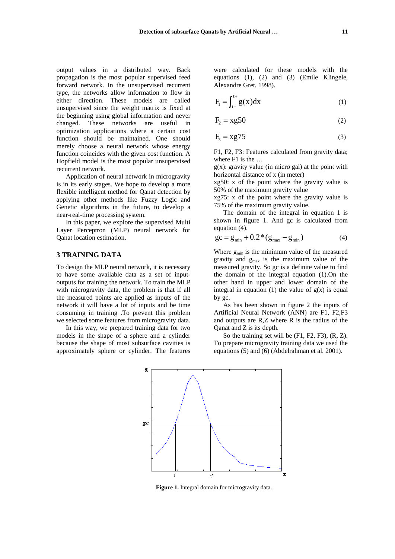output values in a distributed way. Back propagation is the most popular supervised feed forward network. In the unsupervised recurrent type, the networks allow information to flow in either direction. These models are called unsupervised since the weight matrix is fixed at the beginning using global information and never changed. These networks are useful in optimization applications where a certain cost function should be maintained. One should merely choose a neural network whose energy function coincides with the given cost function. A Hopfield model is the most popular unsupervised recurrent network.

Application of neural network in microgravity is in its early stages. We hope to develop a more flexible intelligent method for Qanat detection by applying other methods like Fuzzy Logic and Genetic algorithms in the future, to develop a near-real-time processing system.

In this paper, we explore the supervised Multi Layer Perceptron (MLP) neural network for Qanat location estimation.

## **3 TRAINING DATA**

To design the MLP neural network, it is necessary to have some available data as a set of inputoutputs for training the network. To train the MLP with microgravity data, the problem is that if all the measured points are applied as inputs of the network it will have a lot of inputs and be time consuming in training .To prevent this problem we selected some features from microgravity data.

In this way, we prepared training data for two models in the shape of a sphere and a cylinder because the shape of most subsurface cavities is approximately sphere or cylinder. The features were calculated for these models with the equations (1), (2) and (3) (Emile Klingele, Alexandre Gret, 1998).

$$
F_1 = \int_{t-}^{t+} g(x) dx
$$
 (1)

$$
F_2 = xg50 \tag{2}
$$

$$
F_3 = xg75 \tag{3}
$$

F1, F2, F3: Features calculated from gravity data; where F1 is the ...

 $g(x)$ : gravity value (in micro gal) at the point with horizontal distance of x (in meter)

xg50: x of the point where the gravity value is 50% of the maximum gravity value

xg75: x of the point where the gravity value is 75% of the maximum gravity value.

The domain of the integral in equation 1 is shown in figure 1. And gc is calculated from equation (4).

$$
gc = g_{\min} + 0.2 * (g_{\max} - g_{\min})
$$
 (4)

Where  $g_{min}$  is the minimum value of the measured gravity and  $g_{\text{max}}$  is the maximum value of the measured gravity. So gc is a definite value to find the domain of the integral equation (1).On the other hand in upper and lower domain of the integral in equation (1) the value of  $g(x)$  is equal by gc.

As has been shown in figure 2 the inputs of Artificial Neural Network (ANN) are F1, F2,F3 and outputs are R,Z where R is the radius of the Qanat and Z is its depth.

So the training set will be (F1, F2, F3), (R, Z). To prepare microgravity training data we used the equations (5) and (6) (Abdelrahman et al. 2001).



**Figure 1.** Integral domain for microgravity data.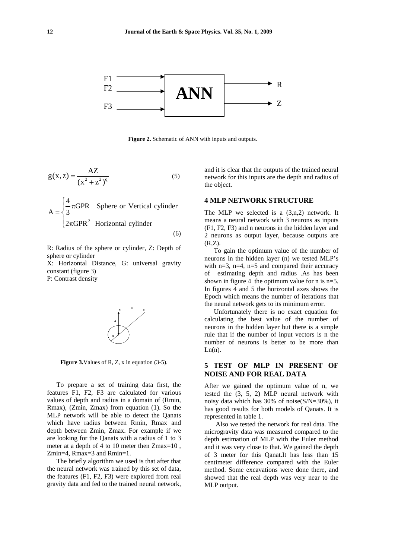

**Figure 2.** Schematic of ANN with inputs and outputs.

$$
g(x, z) = \frac{AZ}{(x^2 + z^2)^q}
$$
 (5)

 $2\pi GPR^2$  Horizontal cylinder  $A = \begin{cases} \frac{4}{3} \pi \text{GPR} & \text{Sphere or Vertical cylinder} \end{cases}$  $\overline{a}$ ⎨ (6)

R: Radius of the sphere or cylinder, Z: Depth of sphere or cylinder

X: Horizontal Distance, G: universal gravity constant (figure 3) P: Contrast density



**Figure 3.**Values of R, Z, x in equation (3-5).

To prepare a set of training data first, the features F1, F2, F3 are calculated for various values of depth and radius in a domain of (Rmin, Rmax), (Zmin, Zmax) from equation (1). So the MLP network will be able to detect the Qanats which have radius between Rmin, Rmax and depth between Zmin, Zmax. For example if we are looking for the Qanats with a radius of 1 to 3 meter at a depth of 4 to 10 meter then Zmax=10 , Zmin=4, Rmax=3 and Rmin=1.

The briefly algorithm we used is that after that the neural network was trained by this set of data, the features (F1, F2, F3) were explored from real gravity data and fed to the trained neural network,

and it is clear that the outputs of the trained neural network for this inputs are the depth and radius of the object.

### **4 MLP NETWORK STRUCTURE**

The MLP we selected is a (3,n,2) network. It means a neural network with 3 neurons as inputs (F1, F2, F3) and n neurons in the hidden layer and 2 neurons as output layer, because outputs are (R,Z).

To gain the optimum value of the number of neurons in the hidden layer (n) we tested MLP's with  $n=3$ ,  $n=4$ ,  $n=5$  and compared their accuracy of estimating depth and radius .As has been shown in figure 4 the optimum value for n is n=5. In figures 4 and 5 the horizontal axes shows the Epoch which means the number of iterations that the neural network gets to its minimum error.

Unfortunately there is no exact equation for calculating the best value of the number of neurons in the hidden layer but there is a simple rule that if the number of input vectors is n the number of neurons is better to be more than  $Ln(n)$ .

# **5 TEST OF MLP IN PRESENT OF NOISE AND FOR REAL DATA**

After we gained the optimum value of n, we tested the (3, 5, 2) MLP neural network with noisy data which has 30% of noise(S/N=30%), it has good results for both models of Qanats. It is represented in table 1.

Also we tested the network for real data. The microgravity data was measured compared to the depth estimation of MLP with the Euler method and it was very close to that. We gained the depth of 3 meter for this Qanat.It has less than 15 centimeter difference compared with the Euler method. Some excavations were done there, and showed that the real depth was very near to the MLP output.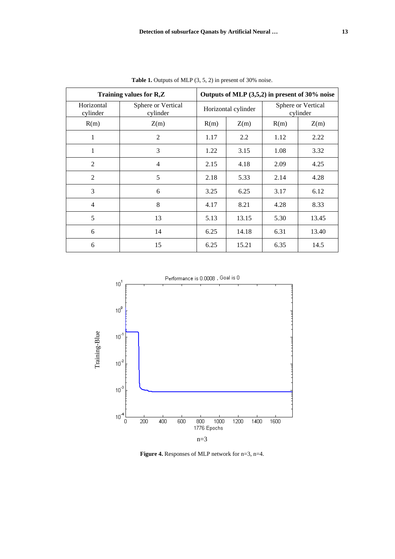| Training values for R,Z |                                | Outputs of MLP (3,5,2) in present of 30% noise |       |                                |       |
|-------------------------|--------------------------------|------------------------------------------------|-------|--------------------------------|-------|
| Horizontal<br>cylinder  | Sphere or Vertical<br>cylinder | Horizontal cylinder                            |       | Sphere or Vertical<br>cylinder |       |
| R(m)                    | Z(m)                           | R(m)                                           | Z(m)  | R(m)                           | Z(m)  |
| 1                       | $\overline{2}$                 | 1.17                                           | 2.2   | 1.12                           | 2.22  |
| 1                       | 3                              | 1.22                                           | 3.15  | 1.08                           | 3.32  |
| $\overline{2}$          | 4                              | 2.15                                           | 4.18  | 2.09                           | 4.25  |
| $\overline{2}$          | 5                              | 2.18                                           | 5.33  | 2.14                           | 4.28  |
| 3                       | 6                              | 3.25                                           | 6.25  | 3.17                           | 6.12  |
| $\overline{4}$          | 8                              | 4.17                                           | 8.21  | 4.28                           | 8.33  |
| 5                       | 13                             | 5.13                                           | 13.15 | 5.30                           | 13.45 |
| 6                       | 14                             | 6.25                                           | 14.18 | 6.31                           | 13.40 |
| 6                       | 15                             | 6.25                                           | 15.21 | 6.35                           | 14.5  |

**Table 1.** Outputs of MLP (3, 5, 2) in present of 30% noise.



**Figure 4.** Responses of MLP network for n=3, n=4.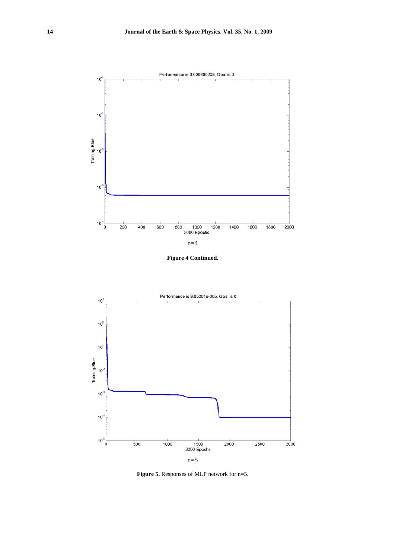

**Figure 4 Continued.** 



**Figure 5.** Responses of MLP network for n=5.